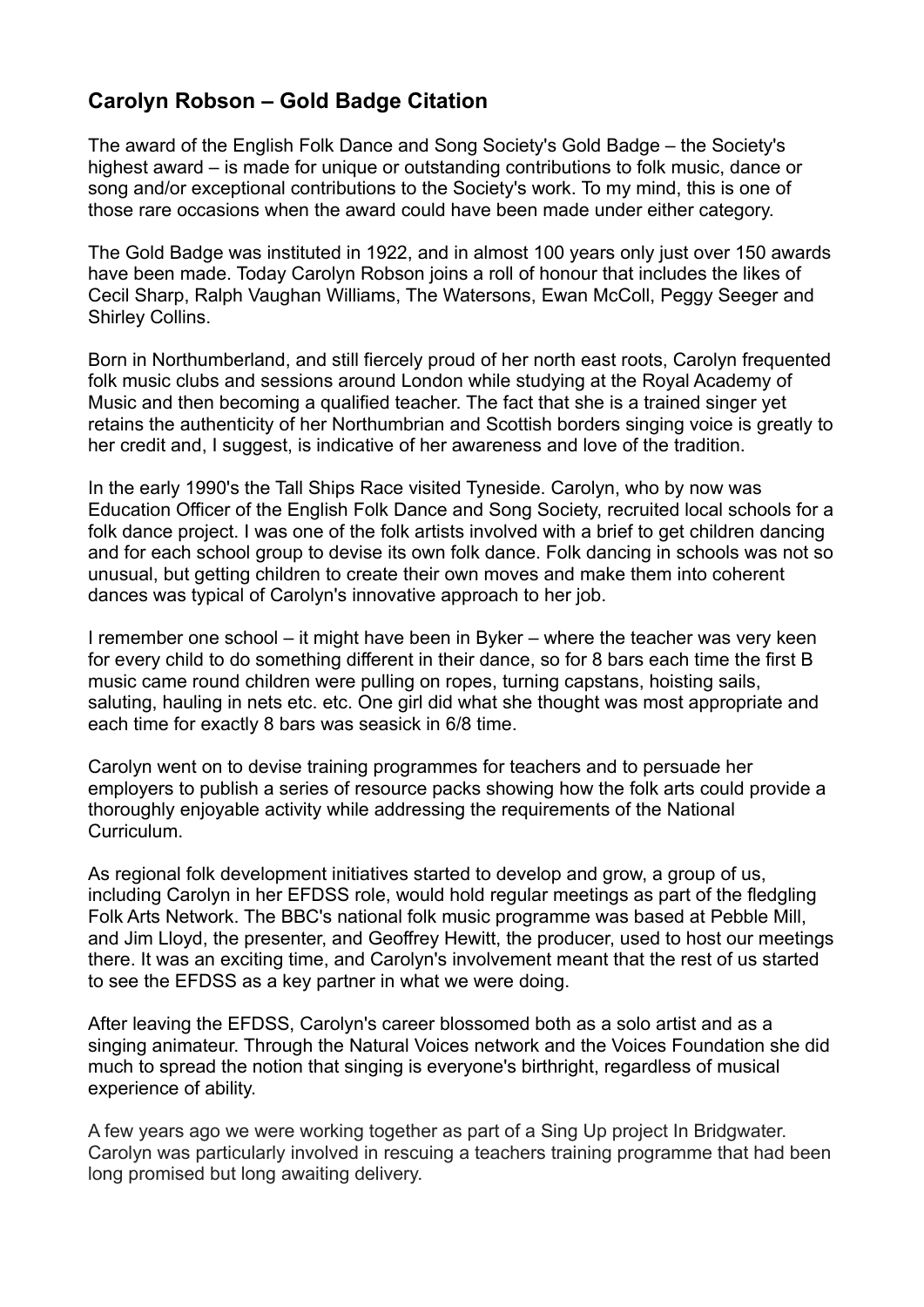## **Carolyn Robson – Gold Badge Citation**

The award of the English Folk Dance and Song Society's Gold Badge – the Society's highest award – is made for unique or outstanding contributions to folk music, dance or song and/or exceptional contributions to the Society's work. To my mind, this is one of those rare occasions when the award could have been made under either category.

The Gold Badge was instituted in 1922, and in almost 100 years only just over 150 awards have been made. Today Carolyn Robson joins a roll of honour that includes the likes of Cecil Sharp, Ralph Vaughan Williams, The Watersons, Ewan McColl, Peggy Seeger and Shirley Collins.

Born in Northumberland, and still fiercely proud of her north east roots, Carolyn frequented folk music clubs and sessions around London while studying at the Royal Academy of Music and then becoming a qualified teacher. The fact that she is a trained singer yet retains the authenticity of her Northumbrian and Scottish borders singing voice is greatly to her credit and, I suggest, is indicative of her awareness and love of the tradition.

In the early 1990's the Tall Ships Race visited Tyneside. Carolyn, who by now was Education Officer of the English Folk Dance and Song Society, recruited local schools for a folk dance project. I was one of the folk artists involved with a brief to get children dancing and for each school group to devise its own folk dance. Folk dancing in schools was not so unusual, but getting children to create their own moves and make them into coherent dances was typical of Carolyn's innovative approach to her job.

I remember one school – it might have been in Byker – where the teacher was very keen for every child to do something different in their dance, so for 8 bars each time the first B music came round children were pulling on ropes, turning capstans, hoisting sails, saluting, hauling in nets etc. etc. One girl did what she thought was most appropriate and each time for exactly 8 bars was seasick in 6/8 time.

Carolyn went on to devise training programmes for teachers and to persuade her employers to publish a series of resource packs showing how the folk arts could provide a thoroughly enjoyable activity while addressing the requirements of the National Curriculum.

As regional folk development initiatives started to develop and grow, a group of us, including Carolyn in her EFDSS role, would hold regular meetings as part of the fledgling Folk Arts Network. The BBC's national folk music programme was based at Pebble Mill, and Jim Lloyd, the presenter, and Geoffrey Hewitt, the producer, used to host our meetings there. It was an exciting time, and Carolyn's involvement meant that the rest of us started to see the EFDSS as a key partner in what we were doing.

After leaving the EFDSS, Carolyn's career blossomed both as a solo artist and as a singing animateur. Through the Natural Voices network and the Voices Foundation she did much to spread the notion that singing is everyone's birthright, regardless of musical experience of ability.

A few years ago we were working together as part of a Sing Up project In Bridgwater. Carolyn was particularly involved in rescuing a teachers training programme that had been long promised but long awaiting delivery.